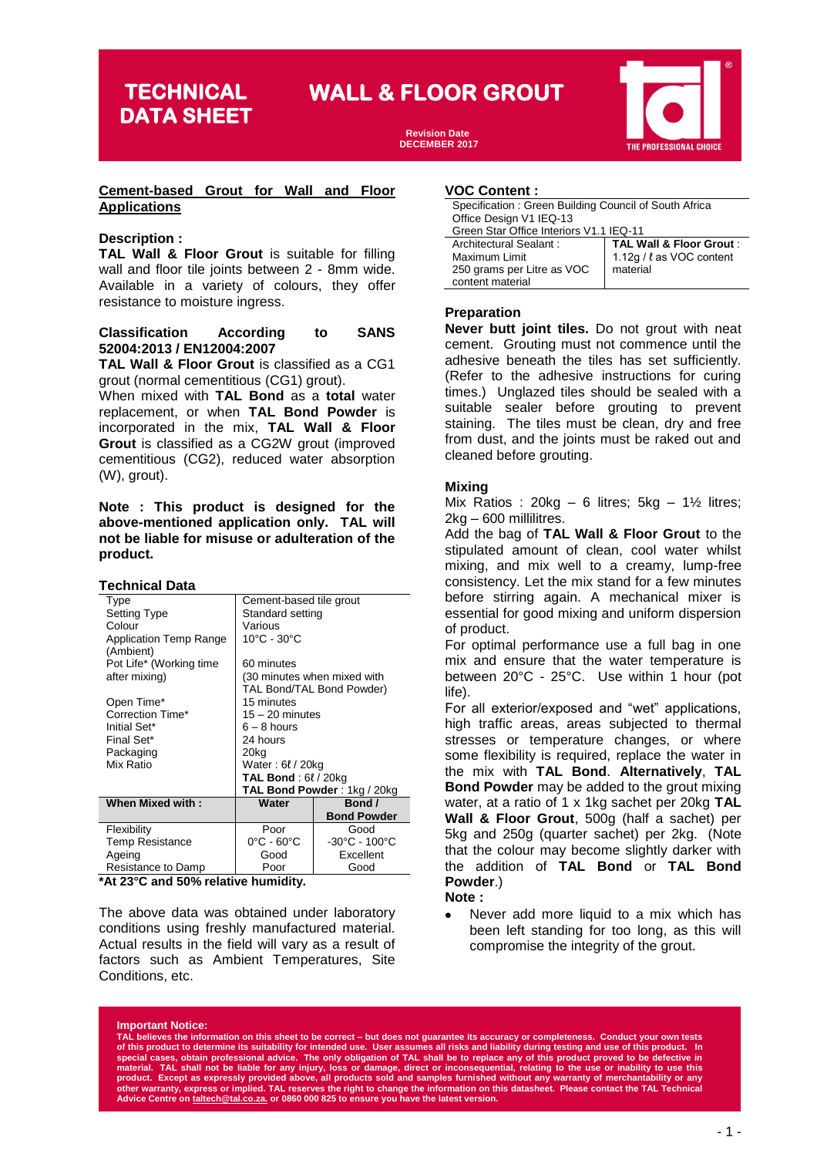**DATA SHEET**

# **TECHNICAL WALL & FLOOR GROUT**

**Revision Date DECEMBER 2017**



#### **Cement-based Grout for Wall and Floor Applications**

#### **Description :**

**TAL Wall & Floor Grout** is suitable for filling wall and floor tile joints between 2 - 8mm wide. Available in a variety of colours, they offer resistance to moisture ingress.

#### **Classification According to SANS 52004:2013 / EN12004:2007**

**TAL Wall & Floor Grout** is classified as a CG1 grout (normal cementitious (CG1) grout).

When mixed with **TAL Bond** as a **total** water replacement, or when **TAL Bond Powder** is incorporated in the mix, **TAL Wall & Floor Grout** is classified as a CG2W grout (improved cementitious (CG2), reduced water absorption (W), grout).

**Note : This product is designed for the above-mentioned application only. TAL will not be liable for misuse or adulteration of the product.** 

#### **Technical Data**

| Type                    | Cement-based tile grout         |                                    |  |
|-------------------------|---------------------------------|------------------------------------|--|
| <b>Setting Type</b>     | Standard setting                |                                    |  |
| Colour                  | Various                         |                                    |  |
| Application Temp Range  | 10°C - 30°C                     |                                    |  |
| (Ambient)               |                                 |                                    |  |
| Pot Life* (Working time | 60 minutes                      |                                    |  |
| after mixing)           | (30 minutes when mixed with     |                                    |  |
|                         |                                 | TAL Bond/TAL Bond Powder)          |  |
| Open Time*              | 15 minutes                      |                                    |  |
| Correction Time*        | $15 - 20$ minutes               |                                    |  |
| Initial Set*            | $6 - 8$ hours                   |                                    |  |
| Final Set*              | 24 hours                        |                                    |  |
| Packaging               | 20kg                            |                                    |  |
| Mix Ratio               | Water: 6 <i>t</i> / 20kg        |                                    |  |
|                         | <b>TAL Bond</b> : $6\ell/20kg$  |                                    |  |
|                         | TAL Bond Powder: 1kg / 20kg     |                                    |  |
| <b>When Mixed with:</b> | Water                           | Bond /                             |  |
|                         |                                 | <b>Bond Powder</b>                 |  |
| Flexibility             | Poor                            | Good                               |  |
| <b>Temp Resistance</b>  | $0^{\circ}$ C - 60 $^{\circ}$ C | $-30^{\circ}$ C - 100 $^{\circ}$ C |  |
| Ageing                  | Good                            | Excellent                          |  |
| Resistance to Damp      | Poor                            | Good                               |  |

**\*At 23°C and 50% relative humidity.**

The above data was obtained under laboratory conditions using freshly manufactured material. Actual results in the field will vary as a result of factors such as Ambient Temperatures, Site Conditions, etc.

## **based VOC Content :**

| Office Design V1 IEQ-13<br>Green Star Office Interiors V1.1 IEQ-11<br><b>TAL Wall &amp; Floor Grout:</b><br>Architectural Sealant:<br>1.12g / l as VOC content<br>Maximum Limit<br>250 grams per Litre as VOC<br>material | Specification: Green Building Council of South Africa |  |  |  |
|---------------------------------------------------------------------------------------------------------------------------------------------------------------------------------------------------------------------------|-------------------------------------------------------|--|--|--|
|                                                                                                                                                                                                                           |                                                       |  |  |  |
|                                                                                                                                                                                                                           |                                                       |  |  |  |
|                                                                                                                                                                                                                           |                                                       |  |  |  |
|                                                                                                                                                                                                                           |                                                       |  |  |  |
|                                                                                                                                                                                                                           |                                                       |  |  |  |
|                                                                                                                                                                                                                           | content material                                      |  |  |  |

#### **Preparation**

**Never butt joint tiles.** Do not grout with neat cement. Grouting must not commence until the adhesive beneath the tiles has set sufficiently. (Refer to the adhesive instructions for curing times.) Unglazed tiles should be sealed with a suitable sealer before grouting to prevent staining. The tiles must be clean, dry and free from dust, and the joints must be raked out and cleaned before grouting.

## **Mixing**

Mix Ratios : 20kg - 6 litres;  $5kg - 1\frac{1}{2}$  litres; 2kg – 600 millilitres.

Add the bag of **TAL Wall & Floor Grout** to the stipulated amount of clean, cool water whilst mixing, and mix well to a creamy, lump-free consistency. Let the mix stand for a few minutes before stirring again. A mechanical mixer is essential for good mixing and uniform dispersion of product.

For optimal performance use a full bag in one mix and ensure that the water temperature is between 20°C - 25°C. Use within 1 hour (pot life).

For all exterior/exposed and "wet" applications, high traffic areas, areas subjected to thermal stresses or temperature changes, or where some flexibility is required, replace the water in the mix with **TAL Bond**. **Alternatively**, **TAL Bond Powder** may be added to the grout mixing water, at a ratio of 1 x 1kg sachet per 20kg **TAL Wall & Floor Grout**, 500g (half a sachet) per 5kg and 250g (quarter sachet) per 2kg. (Note that the colour may become slightly darker with the addition of **TAL Bond** or **TAL Bond Powder**.)

**Note :**

• Never add more liquid to a mix which has been left standing for too long, as this will compromise the integrity of the grout.

#### **Important Notice:**

**TAL believes the information on this sheet to be correct – but does not guarantee its accuracy or completeness. Conduct your own tests**  of this product to determine its suitability for intended use. User assumes all risks and liability during testing and use of this product. In<br>special cases, obtain professional advice. The only obligation of TAL shall be product. Except as expressly provided above, all products sold and samples furnished without any warranty of merchantability or any<br>other warranty, express or implied. TAL reserves the right to change the information on t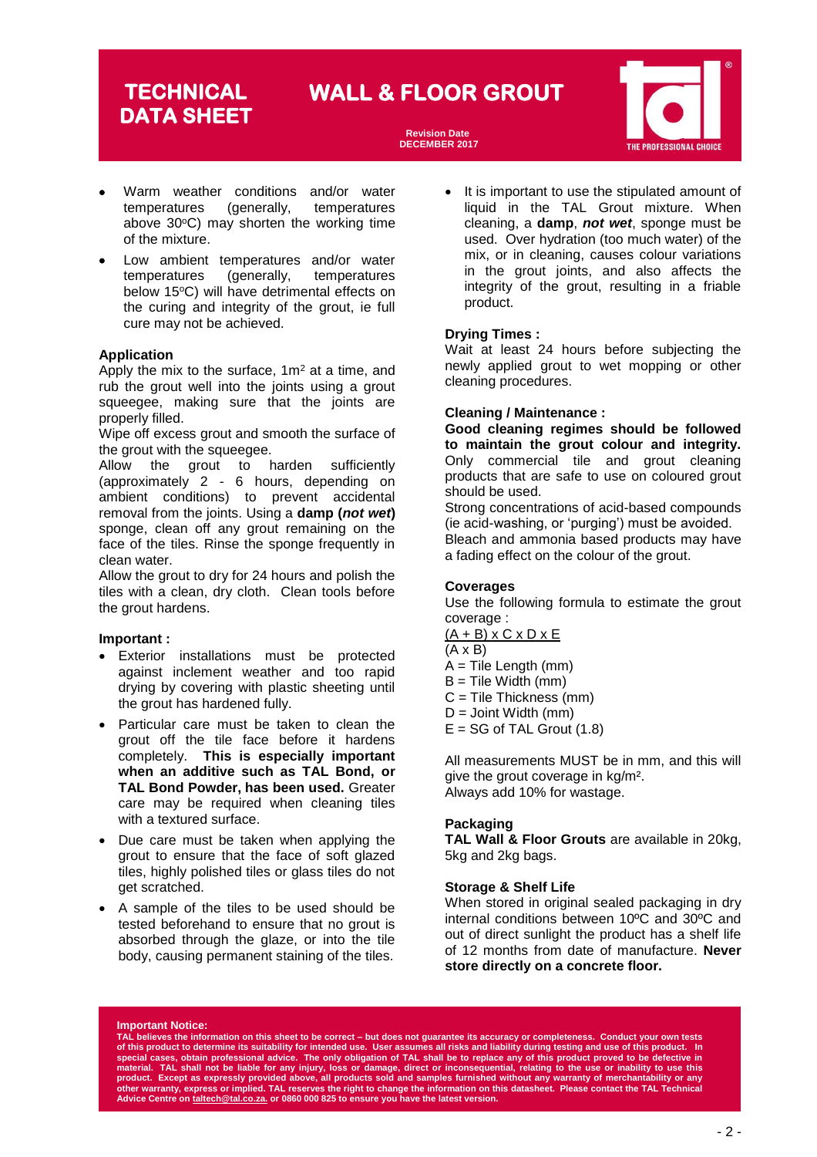# **DATA SHEET**

# **TECHNICAL WALL & FLOOR GROUT**

**Revision Date DECEMBER 2017**



- Warm weather conditions and/or water temperatures (generally, temperatures above  $30^{\circ}$ C) may shorten the working time of the mixture.
- Low ambient temperatures and/or water temperatures (generally, temperatures below 15°C) will have detrimental effects on the curing and integrity of the grout, ie full cure may not be achieved.

#### **Application**

Apply the mix to the surface,  $1m^2$  at a time, and rub the grout well into the joints using a grout squeegee, making sure that the joints are properly filled.

Wipe off excess grout and smooth the surface of the grout with the squeegee.

Allow the grout to harden sufficiently (approximately 2 - 6 hours, depending on ambient conditions) to prevent accidental removal from the joints. Using a **damp (***not wet***)** sponge, clean off any grout remaining on the face of the tiles. Rinse the sponge frequently in clean water.

Allow the grout to dry for 24 hours and polish the tiles with a clean, dry cloth. Clean tools before the grout hardens.

#### **Important :**

- Exterior installations must be protected against inclement weather and too rapid drying by covering with plastic sheeting until the grout has hardened fully.
- Particular care must be taken to clean the grout off the tile face before it hardens completely. **This is especially important when an additive such as TAL Bond, or TAL Bond Powder, has been used.** Greater care may be required when cleaning tiles with a textured surface.
- Due care must be taken when applying the grout to ensure that the face of soft glazed tiles, highly polished tiles or glass tiles do not get scratched.
- A sample of the tiles to be used should be tested beforehand to ensure that no grout is absorbed through the glaze, or into the tile body, causing permanent staining of the tiles.

It is important to use the stipulated amount of liquid in the TAL Grout mixture. When cleaning, a **damp**, *not wet*, sponge must be used. Over hydration (too much water) of the mix, or in cleaning, causes colour variations in the grout joints, and also affects the integrity of the grout, resulting in a friable product.

#### **Drying Times :**

Wait at least 24 hours before subjecting the newly applied grout to wet mopping or other cleaning procedures.

#### **Cleaning / Maintenance :**

**Good cleaning regimes should be followed to maintain the grout colour and integrity.** Only commercial tile and grout cleaning products that are safe to use on coloured grout should be used.

Strong concentrations of acid-based compounds (ie acid-washing, or 'purging') must be avoided. Bleach and ammonia based products may have a fading effect on the colour of the grout.

#### **Coverages**

Use the following formula to estimate the grout coverage :

- $(A + B)$  x C x D x E
- (A x B)
- $A =$  Tile Length (mm)
- $B =$  Tile Width (mm)
- C = Tile Thickness (mm)
- $D =$  Joint Width (mm)
- $E = SG$  of TAL Grout  $(1.8)$

All measurements MUST be in mm, and this will give the grout coverage in kg/m². Always add 10% for wastage.

## **Packaging**

**TAL Wall & Floor Grouts** are available in 20kg, 5kg and 2kg bags.

## **Storage & Shelf Life**

When stored in original sealed packaging in dry internal conditions between 10ºC and 30ºC and out of direct sunlight the product has a shelf life of 12 months from date of manufacture. **Never store directly on a concrete floor.** 

#### **Important Notice:**

**TAL believes the information on this sheet to be correct – but does not guarantee its accuracy or completeness. Conduct your own tests**  of this product to determine its suitability for intended use. User assumes all risks and liability during testing and use of this product. In<br>special cases, obtain professional advice. The only obligation of TAL shall be product. Except as expressly provided above, all products sold and samples furnished without any warranty of merchantability or any<br>other warranty, express or implied. TAL reserves the right to change the information on t